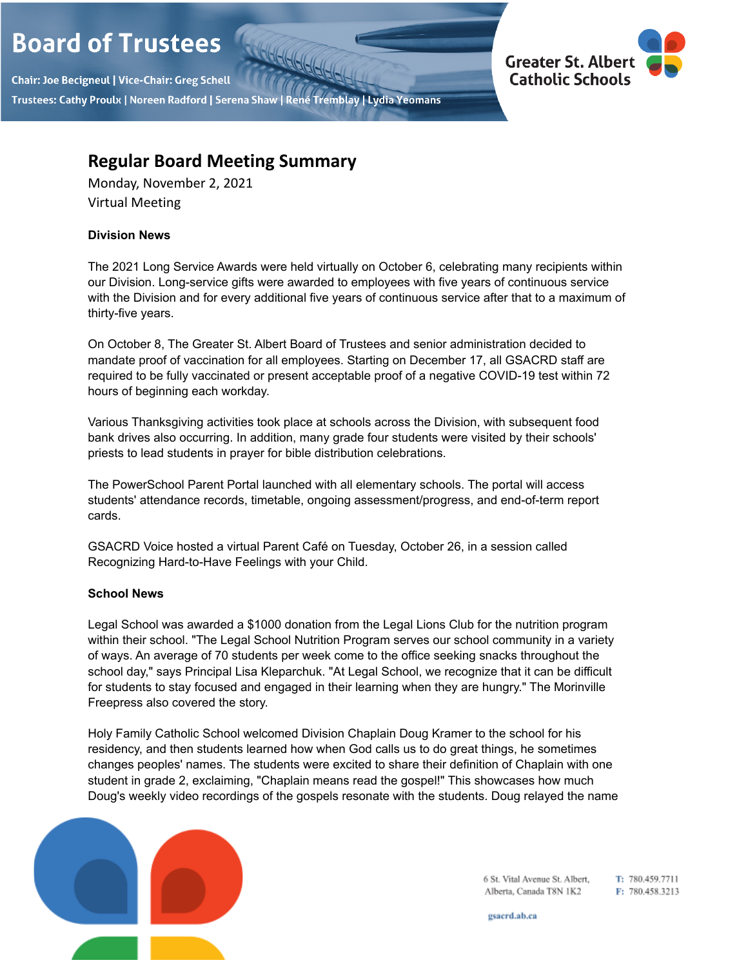# **Board of Trustees**

Chair: Joe Becigneul | Vice-Chair: Greg Schell Trustees: Cathy Proulx | Noreen Radford | Serena Shaw | René Tremblay | Lydia Yeomans



# **Regular Board Meeting Summary**

Monday, November 2, 2021 Virtual Meeting

## **Division News**

The 2021 Long Service Awards were held virtually on October 6, celebrating many recipients within our Division. Long-service gifts were awarded to employees with five years of continuous service with the Division and for every additional five years of continuous service after that to a maximum of thirty-five years.

On October 8, The Greater St. Albert Board of Trustees and senior administration decided to mandate proof of vaccination for all employees. Starting on December 17, all GSACRD staff are required to be fully vaccinated or present acceptable proof of a negative COVID-19 test within 72 hours of beginning each workday.

Various Thanksgiving activities took place at schools across the Division, with subsequent food bank drives also occurring. In addition, many grade four students were visited by their schools' priests to lead students in prayer for bible distribution celebrations.

The PowerSchool Parent Portal launched with all elementary schools. The portal will access students' attendance records, timetable, ongoing assessment/progress, and end-of-term report cards.

GSACRD Voice hosted a virtual Parent Café on Tuesday, October 26, in a session called Recognizing Hard-to-Have Feelings with your Child.

# **School News**

Legal School was awarded a \$1000 donation from the Legal Lions Club for the nutrition program within their school. "The Legal School Nutrition Program serves our school community in a variety of ways. An average of 70 students per week come to the office seeking snacks throughout the school day," says Principal Lisa Kleparchuk. "At Legal School, we recognize that it can be difficult for students to stay focused and engaged in their learning when they are hungry." The Morinville Freepress also covered the story.

Holy Family Catholic School welcomed Division Chaplain Doug Kramer to the school for his residency, and then students learned how when God calls us to do great things, he sometimes changes peoples' names. The students were excited to share their definition of Chaplain with one student in grade 2, exclaiming, "Chaplain means read the gospel!" This showcases how much Doug's weekly video recordings of the gospels resonate with the students. Doug relayed the name



6 St. Vital Avenue St. Albert, T: 780.459.7711 Alberta, Canada T8N 1K2 F: 780.458.3213

gsacrd.ab.ca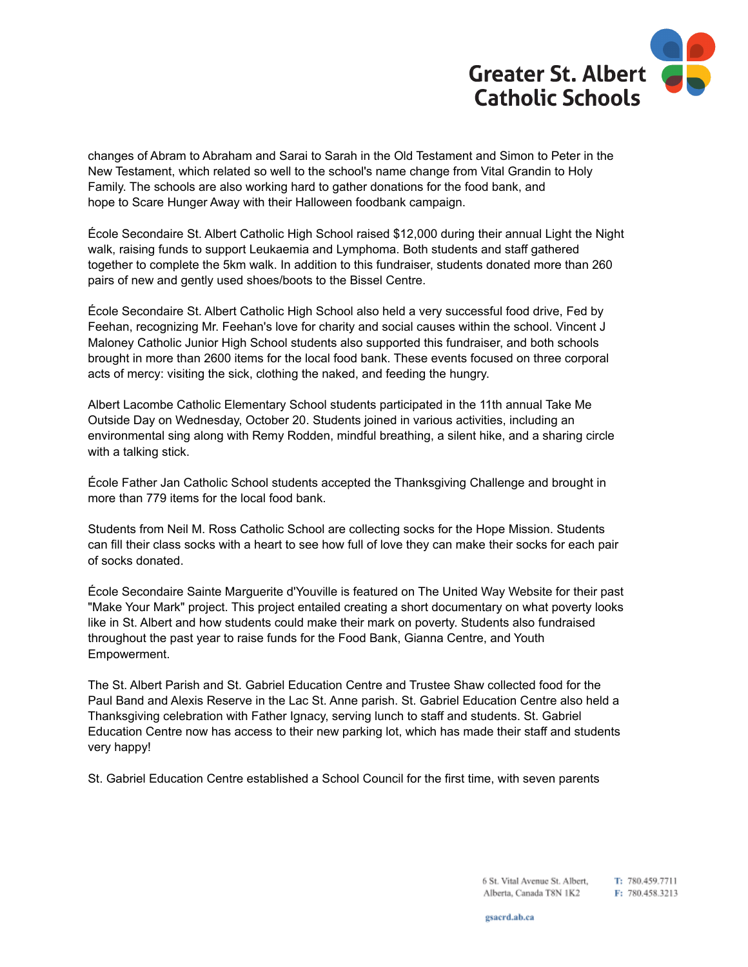

changes of Abram to Abraham and Sarai to Sarah in the Old Testament and Simon to Peter in the New Testament, which related so well to the school's name change from Vital Grandin to Holy Family. The schools are also working hard to gather donations for the food bank, and hope to Scare Hunger Away with their Halloween foodbank campaign.

École Secondaire St. Albert Catholic High School raised \$12,000 during their annual Light the Night walk, raising funds to support Leukaemia and Lymphoma. Both students and staff gathered together to complete the 5km walk. In addition to this fundraiser, students donated more than 260 pairs of new and gently used shoes/boots to the Bissel Centre.

École Secondaire St. Albert Catholic High School also held a very successful food drive, Fed by Feehan, recognizing Mr. Feehan's love for charity and social causes within the school. Vincent J Maloney Catholic Junior High School students also supported this fundraiser, and both schools brought in more than 2600 items for the local food bank. These events focused on three corporal acts of mercy: visiting the sick, clothing the naked, and feeding the hungry.

Albert Lacombe Catholic Elementary School students participated in the 11th annual Take Me Outside Day on Wednesday, October 20. Students joined in various activities, including an environmental sing along with Remy Rodden, mindful breathing, a silent hike, and a sharing circle with a talking stick.

École Father Jan Catholic School students accepted the Thanksgiving Challenge and brought in more than 779 items for the local food bank.

Students from Neil M. Ross Catholic School are collecting socks for the Hope Mission. Students can fill their class socks with a heart to see how full of love they can make their socks for each pair of socks donated.

École Secondaire Sainte Marguerite d'Youville is featured on The United Way Website for their past "Make Your Mark" project. This project entailed creating a short documentary on what poverty looks like in St. Albert and how students could make their mark on poverty. Students also fundraised throughout the past year to raise funds for the Food Bank, Gianna Centre, and Youth Empowerment.

The St. Albert Parish and St. Gabriel Education Centre and Trustee Shaw collected food for the Paul Band and Alexis Reserve in the Lac St. Anne parish. St. Gabriel Education Centre also held a Thanksgiving celebration with Father Ignacy, serving lunch to staff and students. St. Gabriel Education Centre now has access to their new parking lot, which has made their staff and students very happy!

St. Gabriel Education Centre established a School Council for the first time, with seven parents